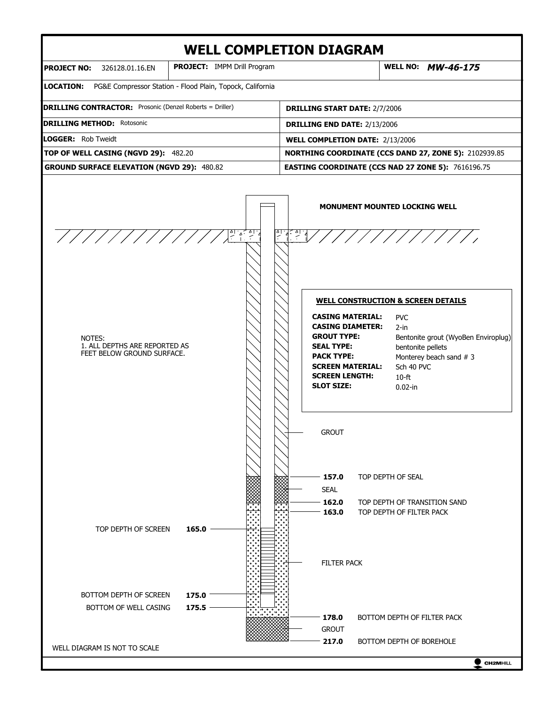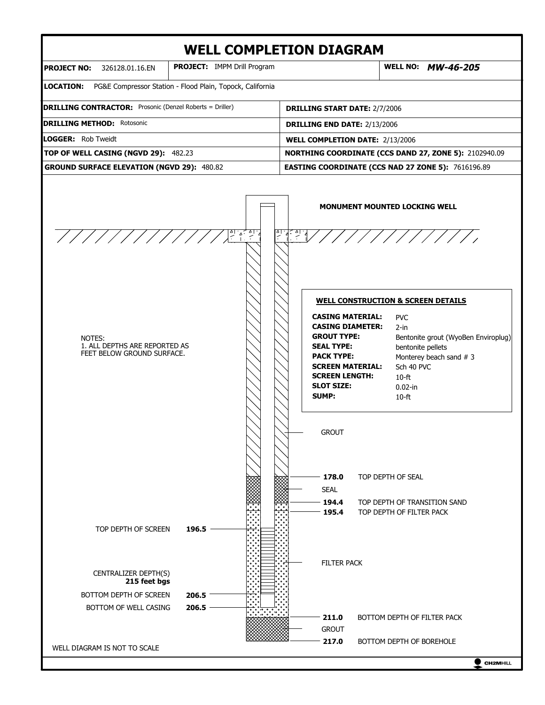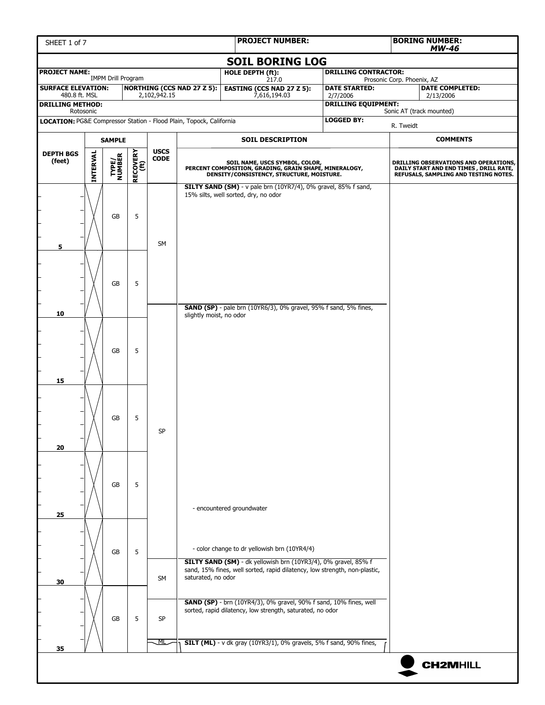| SHEET 1 of 7                                                                                    | <b>PROJECT NUMBER:</b> |                        |                  |                 |                         | <b>BORING NUMBER:</b><br><b>MW-46</b>                                                                                                 |  |                                  |                            |                                                                                                                           |
|-------------------------------------------------------------------------------------------------|------------------------|------------------------|------------------|-----------------|-------------------------|---------------------------------------------------------------------------------------------------------------------------------------|--|----------------------------------|----------------------------|---------------------------------------------------------------------------------------------------------------------------|
|                                                                                                 |                        |                        |                  |                 |                         | <b>SOIL BORING LOG</b>                                                                                                                |  |                                  |                            |                                                                                                                           |
| <b>PROJECT NAME:</b><br><b>IMPM Drill Program</b>                                               |                        |                        |                  |                 |                         | <b>HOLE DEPTH (ft):</b><br>217.0                                                                                                      |  | <b>DRILLING CONTRACTOR:</b>      | Prosonic Corp. Phoenix, AZ |                                                                                                                           |
| <b>NORTHING (CCS NAD 27 Z 5):</b><br><b>SURFACE ELEVATION:</b><br>2,102,942.15<br>480.8 ft. MSL |                        |                        |                  |                 |                         | <b>EASTING (CCS NAD 27 Z 5):</b><br>7,616,194.03                                                                                      |  | <b>DATE STARTED:</b><br>2/7/2006 |                            | <b>DATE COMPLETED:</b><br>2/13/2006                                                                                       |
| <b>DRILLING METHOD:</b><br>Rotosonic                                                            |                        |                        |                  |                 |                         |                                                                                                                                       |  | <b>DRILLING EQUIPMENT:</b>       |                            | Sonic AT (track mounted)                                                                                                  |
| LOCATION: PG&E Compressor Station - Flood Plain, Topock, California                             |                        |                        |                  |                 |                         |                                                                                                                                       |  | <b>LOGGED BY:</b>                | R. Tweidt                  |                                                                                                                           |
|                                                                                                 |                        | <b>SAMPLE</b>          |                  |                 |                         | <b>SOIL DESCRIPTION</b>                                                                                                               |  |                                  |                            | <b>COMMENTS</b>                                                                                                           |
| <b>DEPTH BGS</b>                                                                                |                        |                        |                  | <b>USCS</b>     |                         |                                                                                                                                       |  |                                  |                            |                                                                                                                           |
| (feet)                                                                                          | INTERVAL               | <b>TYPE/</b><br>NUMBER | RECOVERY<br>(ft) | $\mathsf{CODE}$ |                         | SOIL NAME, USCS SYMBOL, COLOR,<br>PERCENT COMPOSITION, GRADING, GRAIN SHAPE, MINERALOGY,<br>DENSITY/CONSISTENCY, STRUCTURE, MOISTURE. |  |                                  |                            | DRILLING OBSERVATIONS AND OPERATIONS,<br>DAILY START AND END TIMES , DRILL RATE,<br>REFUSALS, SAMPLING AND TESTING NOTES. |
|                                                                                                 |                        | GB                     | 5                | <b>SM</b>       |                         | SILTY SAND (SM) - v pale brn (10YR7/4), 0% gravel, 85% f sand,<br>15% silts, well sorted, dry, no odor                                |  |                                  |                            |                                                                                                                           |
| 5                                                                                               |                        | <b>GB</b>              | 5                |                 |                         | <b>SAND (SP)</b> - pale brn (10YR6/3), 0% gravel, 95% f sand, 5% fines,                                                               |  |                                  |                            |                                                                                                                           |
| 10<br>15                                                                                        |                        | GB                     | 5                |                 | slightly moist, no odor |                                                                                                                                       |  |                                  |                            |                                                                                                                           |
| 20                                                                                              |                        | GB                     | 5                | SP              |                         |                                                                                                                                       |  |                                  |                            |                                                                                                                           |
| 25                                                                                              |                        | GB                     | 5                |                 |                         | - encountered groundwater                                                                                                             |  |                                  |                            |                                                                                                                           |
|                                                                                                 |                        | <b>GB</b>              | 5                |                 |                         | - color change to dr yellowish brn (10YR4/4)<br>SILTY SAND (SM) - dk yellowish brn (10YR3/4), 0% gravel, 85% f                        |  |                                  |                            |                                                                                                                           |
| 30                                                                                              |                        |                        |                  | <b>SM</b>       | saturated, no odor      | sand, 15% fines, well sorted, rapid dilatency, low strength, non-plastic,                                                             |  |                                  |                            |                                                                                                                           |
|                                                                                                 |                        | <b>GB</b>              | 5                | <b>SP</b>       |                         | <b>SAND (SP)</b> - brn (10YR4/3), 0% gravel, 90% f sand, 10% fines, well<br>sorted, rapid dilatency, low strength, saturated, no odor |  |                                  |                            |                                                                                                                           |
| 35                                                                                              |                        |                        |                  | ╨               |                         | <b>SILT (ML)</b> - v dk gray (10YR3/1), 0% gravels, 5% f sand, 90% fines,                                                             |  |                                  |                            |                                                                                                                           |
|                                                                                                 |                        |                        |                  |                 |                         |                                                                                                                                       |  |                                  |                            | <b>CH2MHILL</b>                                                                                                           |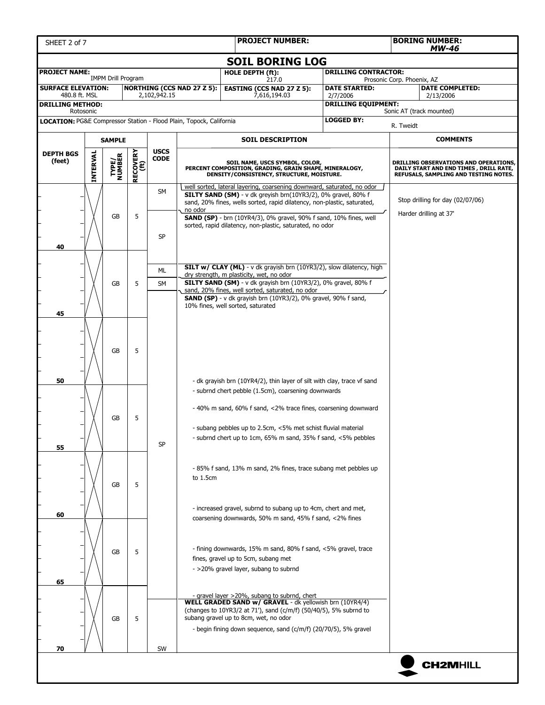| SHEET 2 of 7                                                        | <b>PROJECT NUMBER:</b> |                           |                  |              |                                   |                                                                                                                                         |          | <b>BORING NUMBER:</b><br>MW-46 |                                                                                                                          |                                                            |  |  |
|---------------------------------------------------------------------|------------------------|---------------------------|------------------|--------------|-----------------------------------|-----------------------------------------------------------------------------------------------------------------------------------------|----------|--------------------------------|--------------------------------------------------------------------------------------------------------------------------|------------------------------------------------------------|--|--|
|                                                                     | <b>SOIL BORING LOG</b> |                           |                  |              |                                   |                                                                                                                                         |          |                                |                                                                                                                          |                                                            |  |  |
| <b>PROJECT NAME:</b>                                                |                        | <b>IMPM Drill Program</b> |                  |              |                                   | HOLE DEPTH (ft):<br>217.0                                                                                                               |          | <b>DRILLING CONTRACTOR:</b>    | Prosonic Corp. Phoenix, AZ                                                                                               |                                                            |  |  |
| <b>SURFACE ELEVATION:</b><br>480.8 ft. MSL                          |                        |                           |                  | 2,102,942.15 | <b>NORTHING (CCS NAD 27 Z 5):</b> | <b>EASTING (CCS NAD 27 Z 5):</b><br>7,616,194.03                                                                                        | 2/7/2006 | <b>DATE STARTED:</b>           |                                                                                                                          | <b>DATE COMPLETED:</b><br>2/13/2006                        |  |  |
| <b>DRILLING METHOD:</b><br>Rotosonic                                |                        |                           |                  |              |                                   |                                                                                                                                         |          | <b>DRILLING EQUIPMENT:</b>     |                                                                                                                          | Sonic AT (track mounted)                                   |  |  |
| LOCATION: PG&E Compressor Station - Flood Plain, Topock, California |                        |                           |                  |              |                                   |                                                                                                                                         |          | <b>LOGGED BY:</b>              | R. Tweidt                                                                                                                |                                                            |  |  |
|                                                                     |                        | <b>SAMPLE</b>             |                  |              |                                   | <b>SOIL DESCRIPTION</b>                                                                                                                 |          |                                |                                                                                                                          | <b>COMMENTS</b>                                            |  |  |
| <b>DEPTH BGS</b>                                                    |                        |                           |                  | <b>USCS</b>  |                                   |                                                                                                                                         |          |                                |                                                                                                                          |                                                            |  |  |
| (feet)                                                              | INTERVAL               | <b>TYPE/<br/>NUMBER</b>   | RECOVERY<br>(ft) | <b>CODE</b>  |                                   | SOIL NAME, USCS SYMBOL, COLOR,<br>PERCENT COMPOSITION, GRADING, GRAIN SHAPE, MINERALOGY,<br>DENSITY/CONSISTENCY, STRUCTURE, MOISTURE.   |          |                                | DRILLING OBSERVATIONS AND OPERATIONS,<br>DAILY START AND END TIMES, DRILL RATE,<br>REFUSALS, SAMPLING AND TESTING NOTES. |                                                            |  |  |
|                                                                     |                        |                           |                  | SM           |                                   | well sorted, lateral layering, coarsening downward, saturated, no odor<br>SILTY SAND (SM) - v dk greyish brn(10YR3/2), 0% gravel, 80% f |          |                                |                                                                                                                          |                                                            |  |  |
|                                                                     |                        |                           |                  |              | no odor                           | sand, 20% fines, wells sorted, rapid dilatency, non-plastic, saturated,                                                                 |          |                                |                                                                                                                          | Stop drilling for day (02/07/06)<br>Harder drilling at 37' |  |  |
|                                                                     |                        | <b>GB</b>                 | 5                |              |                                   | <b>SAND (SP)</b> - brn (10YR4/3), 0% gravel, 90% f sand, 10% fines, well<br>sorted, rapid dilatency, non-plastic, saturated, no odor    |          |                                |                                                                                                                          |                                                            |  |  |
|                                                                     |                        |                           |                  | <b>SP</b>    |                                   |                                                                                                                                         |          |                                |                                                                                                                          |                                                            |  |  |
| 40                                                                  |                        |                           |                  |              |                                   |                                                                                                                                         |          |                                |                                                                                                                          |                                                            |  |  |
|                                                                     |                        |                           |                  | ML           |                                   | SILT w/ CLAY (ML) - v dk grayish brn (10YR3/2), slow dilatency, high                                                                    |          |                                |                                                                                                                          |                                                            |  |  |
|                                                                     |                        | GB                        | 5                | <b>SM</b>    |                                   | dry strength, m plasticity, wet, no odor<br>SILTY SAND (SM) - v dk grayish brn (10YR3/2), 0% gravel, 80% f                              |          |                                |                                                                                                                          |                                                            |  |  |
|                                                                     |                        |                           |                  |              |                                   | sand, 20% fines, well sorted, saturated, no odor<br><b>SAND (SP)</b> - v dk grayish brn (10YR3/2), 0% gravel, 90% f sand,               |          |                                |                                                                                                                          |                                                            |  |  |
| 45                                                                  |                        |                           |                  |              |                                   | 10% fines, well sorted, saturated                                                                                                       |          |                                |                                                                                                                          |                                                            |  |  |
|                                                                     |                        |                           |                  |              |                                   |                                                                                                                                         |          |                                |                                                                                                                          |                                                            |  |  |
|                                                                     |                        |                           |                  |              |                                   |                                                                                                                                         |          |                                |                                                                                                                          |                                                            |  |  |
| 5<br>GB                                                             |                        |                           |                  |              |                                   |                                                                                                                                         |          |                                |                                                                                                                          |                                                            |  |  |
|                                                                     |                        |                           |                  |              |                                   |                                                                                                                                         |          |                                |                                                                                                                          |                                                            |  |  |
| 50                                                                  |                        |                           |                  |              |                                   | - dk grayish brn (10YR4/2), thin layer of silt with clay, trace vf sand<br>- subrnd chert pebble (1.5cm), coarsening downwards          |          |                                |                                                                                                                          |                                                            |  |  |
|                                                                     |                        |                           |                  |              |                                   |                                                                                                                                         |          |                                |                                                                                                                          |                                                            |  |  |
|                                                                     |                        | GB                        | 5                |              |                                   | - 40% m sand, 60% f sand, <2% trace fines, coarsening downward                                                                          |          |                                |                                                                                                                          |                                                            |  |  |
|                                                                     |                        |                           |                  |              |                                   | - subang pebbles up to 2.5cm, <5% met schist fluvial material                                                                           |          |                                |                                                                                                                          |                                                            |  |  |
| 55                                                                  |                        |                           |                  | SP           |                                   | - subrnd chert up to 1cm, 65% m sand, 35% f sand, <5% pebbles                                                                           |          |                                |                                                                                                                          |                                                            |  |  |
|                                                                     |                        |                           |                  |              |                                   |                                                                                                                                         |          |                                |                                                                                                                          |                                                            |  |  |
|                                                                     |                        |                           |                  |              | to 1.5cm                          | - 85% f sand, 13% m sand, 2% fines, trace subang met pebbles up                                                                         |          |                                |                                                                                                                          |                                                            |  |  |
|                                                                     |                        | <b>GB</b>                 | 5                |              |                                   |                                                                                                                                         |          |                                |                                                                                                                          |                                                            |  |  |
|                                                                     |                        |                           |                  |              |                                   | - increased gravel, subrnd to subang up to 4cm, chert and met,                                                                          |          |                                |                                                                                                                          |                                                            |  |  |
| 60                                                                  |                        |                           |                  |              |                                   | coarsening downwards, 50% m sand, 45% f sand, <2% fines                                                                                 |          |                                |                                                                                                                          |                                                            |  |  |
|                                                                     |                        |                           |                  |              |                                   |                                                                                                                                         |          |                                |                                                                                                                          |                                                            |  |  |
|                                                                     |                        | GB                        | 5                |              |                                   | - fining downwards, 15% m sand, 80% f sand, <5% gravel, trace                                                                           |          |                                |                                                                                                                          |                                                            |  |  |
|                                                                     |                        |                           |                  |              |                                   | fines, gravel up to 5cm, subang met<br>- >20% gravel layer, subang to subrnd                                                            |          |                                |                                                                                                                          |                                                            |  |  |
| 65                                                                  |                        |                           |                  |              |                                   |                                                                                                                                         |          |                                |                                                                                                                          |                                                            |  |  |
|                                                                     |                        |                           |                  |              |                                   | - gravel layer >20%, subang to subrnd, chert                                                                                            |          |                                |                                                                                                                          |                                                            |  |  |
|                                                                     |                        |                           |                  |              |                                   | <b>WELL GRADED SAND w/ GRAVEL</b> - dk yellowish brn (10YR4/4)<br>(changes to 10YR3/2 at 71'), sand (c/m/f) (50/40/5), 5% subrnd to     |          |                                |                                                                                                                          |                                                            |  |  |
|                                                                     |                        | GB                        | 5                |              |                                   | subang gravel up to 8cm, wet, no odor<br>- begin fining down sequence, sand (c/m/f) (20/70/5), 5% gravel                                |          |                                |                                                                                                                          |                                                            |  |  |
|                                                                     |                        |                           |                  |              |                                   |                                                                                                                                         |          |                                |                                                                                                                          |                                                            |  |  |
| 70                                                                  |                        |                           |                  | SW           |                                   |                                                                                                                                         |          |                                |                                                                                                                          |                                                            |  |  |
|                                                                     |                        |                           |                  |              |                                   |                                                                                                                                         |          |                                |                                                                                                                          | <b>CH2MHILL</b>                                            |  |  |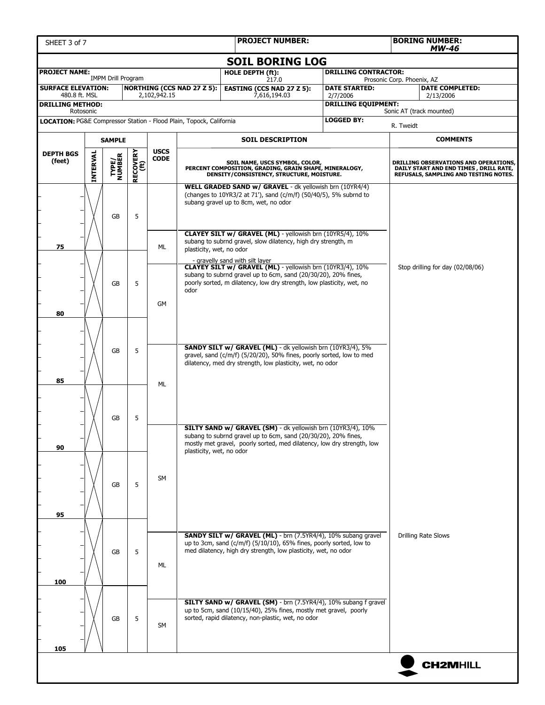| SHEET 3 of 7                                             | <b>PROJECT NUMBER:</b> |                           |                  |             |                                                                     |                                                                                                                                                                                                                                         |                                        |                                  | <b>BORING NUMBER:</b><br><b>MW-46</b>                                                                                    |  |  |
|----------------------------------------------------------|------------------------|---------------------------|------------------|-------------|---------------------------------------------------------------------|-----------------------------------------------------------------------------------------------------------------------------------------------------------------------------------------------------------------------------------------|----------------------------------------|----------------------------------|--------------------------------------------------------------------------------------------------------------------------|--|--|
|                                                          |                        |                           |                  |             |                                                                     | <b>SOIL BORING LOG</b>                                                                                                                                                                                                                  |                                        |                                  |                                                                                                                          |  |  |
| <b>PROJECT NAME:</b>                                     |                        | <b>IMPM Drill Program</b> |                  |             |                                                                     | HOLE DEPTH (ft):<br>217.0                                                                                                                                                                                                               | <b>DRILLING CONTRACTOR:</b>            | Prosonic Corp. Phoenix, AZ       |                                                                                                                          |  |  |
| <b>SURFACE ELEVATION:</b>                                |                        |                           |                  |             | <b>NORTHING (CCS NAD 27 Z 5):</b>                                   | <b>EASTING (CCS NAD 27 Z 5):</b><br>7,616,194.03                                                                                                                                                                                        | <b>DATE STARTED:</b>                   |                                  | <b>DATE COMPLETED:</b>                                                                                                   |  |  |
| 480.8 ft. MSL<br>2,102,942.15<br><b>DRILLING METHOD:</b> |                        |                           |                  |             |                                                                     |                                                                                                                                                                                                                                         | 2/7/2006<br><b>DRILLING EQUIPMENT:</b> |                                  | 2/13/2006                                                                                                                |  |  |
|                                                          | Rotosonic              |                           |                  |             | LOCATION: PG&E Compressor Station - Flood Plain, Topock, California |                                                                                                                                                                                                                                         | <b>LOGGED BY:</b>                      |                                  | Sonic AT (track mounted)                                                                                                 |  |  |
|                                                          |                        |                           |                  |             |                                                                     |                                                                                                                                                                                                                                         |                                        | R. Tweidt                        |                                                                                                                          |  |  |
| <b>DEPTH BGS</b>                                         |                        | <b>SAMPLE</b>             |                  | <b>USCS</b> |                                                                     | <b>SOIL DESCRIPTION</b>                                                                                                                                                                                                                 |                                        |                                  | <b>COMMENTS</b>                                                                                                          |  |  |
| (feet)                                                   | INTERVAL               | <b>TYPE/<br/>NUMBER</b>   | RECOVERY<br>(ft) | <b>CODE</b> |                                                                     | SOIL NAME, USCS SYMBOL, COLOR,<br>PERCENT COMPOSITION, GRADING, GRAIN SHAPE, MINERALOGY, DENSITY/CONSISTENCY, STRUCTURE, MOISTURE.                                                                                                      |                                        |                                  | DRILLING OBSERVATIONS AND OPERATIONS,<br>DAILY START AND END TIMES, DRILL RATE,<br>REFUSALS, SAMPLING AND TESTING NOTES. |  |  |
|                                                          |                        | <b>GB</b>                 | 5                |             |                                                                     | WELL GRADED SAND w/ GRAVEL - dk yellowish brn (10YR4/4)<br>(changes to 10YR3/2 at 71'), sand (c/m/f) (50/40/5), 5% subrnd to<br>subang gravel up to 8cm, wet, no odor                                                                   |                                        |                                  |                                                                                                                          |  |  |
| 75                                                       |                        |                           |                  | ML          | plasticity, wet, no odor                                            | CLAYEY SILT w/ GRAVEL (ML) - yellowish brn (10YR5/4), 10%<br>subang to subrnd gravel, slow dilatency, high dry strength, m                                                                                                              |                                        |                                  |                                                                                                                          |  |  |
| 80                                                       |                        | GB                        | 5                | GM          | odor                                                                | - gravelly sand with silt layer<br>CLAYEY SILT w/ GRAVEL (ML) - yellowish brn (10YR3/4), 10%<br>subang to subrnd gravel up to 6cm, sand (20/30/20), 20% fines,<br>poorly sorted, m dilatency, low dry strength, low plasticity, wet, no |                                        | Stop drilling for day (02/08/06) |                                                                                                                          |  |  |
|                                                          |                        | GB                        | 5                |             |                                                                     | SANDY SILT w/ GRAVEL (ML) - dk yellowish brn (10YR3/4), 5%<br>gravel, sand (c/m/f) (5/20/20), 50% fines, poorly sorted, low to med<br>dilatency, med dry strength, low plasticity, wet, no odor                                         |                                        |                                  |                                                                                                                          |  |  |
| 85                                                       |                        | GB                        | 5                | ML          |                                                                     |                                                                                                                                                                                                                                         |                                        |                                  |                                                                                                                          |  |  |
| 90                                                       |                        |                           |                  |             | plasticity, wet, no odor                                            | SILTY SAND w/ GRAVEL (SM) - dk yellowish brn (10YR3/4), 10%<br>subang to subrnd gravel up to 6cm, sand (20/30/20), 20% fines,<br>mostly met gravel, poorly sorted, med dilatency, low dry strength, low                                 |                                        |                                  |                                                                                                                          |  |  |
| 95                                                       |                        | <b>GB</b>                 | 5                | SM          |                                                                     |                                                                                                                                                                                                                                         |                                        |                                  |                                                                                                                          |  |  |
| 100                                                      |                        | <b>GB</b>                 | 5                | ML          |                                                                     | SANDY SILT w/ GRAVEL (ML) - brn (7.5YR4/4), 10% subang gravel<br>up to 3cm, sand (c/m/f) (5/10/10), 65% fines, poorly sorted, low to<br>med dilatency, high dry strength, low plasticity, wet, no odor                                  | <b>Drilling Rate Slows</b>             |                                  |                                                                                                                          |  |  |
| 105                                                      |                        | GB                        | 5                | SM          |                                                                     | SILTY SAND w/ GRAVEL (SM) - brn (7.5YR4/4), 10% subang f gravel<br>up to 5cm, sand (10/15/40), 25% fines, mostly met gravel, poorly<br>sorted, rapid dilatency, non-plastic, wet, no odor                                               |                                        |                                  |                                                                                                                          |  |  |
|                                                          |                        |                           |                  |             |                                                                     |                                                                                                                                                                                                                                         |                                        |                                  | <b>CH2MHILL</b>                                                                                                          |  |  |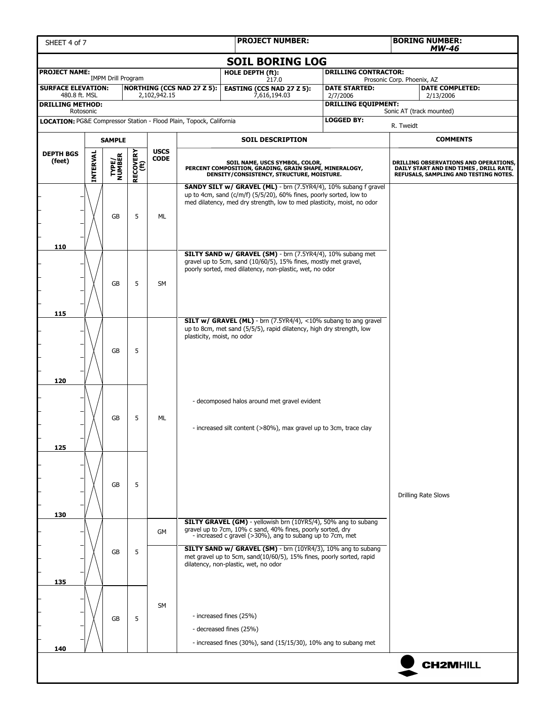| SHEET 4 of 7                         |                                                                                                                                                                                         |                           |                  |                                |                                                                                | <b>PROJECT NUMBER:</b>                                                                                                                                                                            |  |                             | <b>BORING NUMBER:</b><br>MW-46                                                                                           |
|--------------------------------------|-----------------------------------------------------------------------------------------------------------------------------------------------------------------------------------------|---------------------------|------------------|--------------------------------|--------------------------------------------------------------------------------|---------------------------------------------------------------------------------------------------------------------------------------------------------------------------------------------------|--|-----------------------------|--------------------------------------------------------------------------------------------------------------------------|
|                                      |                                                                                                                                                                                         |                           |                  |                                |                                                                                | <b>SOIL BORING LOG</b>                                                                                                                                                                            |  |                             |                                                                                                                          |
| <b>PROJECT NAME:</b>                 |                                                                                                                                                                                         | <b>IMPM Drill Program</b> |                  |                                |                                                                                | HOLE DEPTH (ft):<br>217.0                                                                                                                                                                         |  | <b>DRILLING CONTRACTOR:</b> | Prosonic Corp. Phoenix, AZ                                                                                               |
|                                      | <b>SURFACE ELEVATION:</b><br><b>NORTHING (CCS NAD 27 Z 5):</b><br><b>EASTING (CCS NAD 27 Z 5):</b><br><b>DATE STARTED:</b><br>2.102.942.15<br>7,616,194.03<br>480.8 ft. MSL<br>2/7/2006 |                           |                  |                                |                                                                                |                                                                                                                                                                                                   |  |                             | <b>DATE COMPLETED:</b><br>2/13/2006                                                                                      |
| <b>DRILLING METHOD:</b><br>Rotosonic |                                                                                                                                                                                         |                           |                  |                                |                                                                                |                                                                                                                                                                                                   |  | <b>DRILLING EQUIPMENT:</b>  | Sonic AT (track mounted)                                                                                                 |
|                                      |                                                                                                                                                                                         |                           |                  |                                | <b>LOCATION: PG&amp;E Compressor Station - Flood Plain, Topock, California</b> |                                                                                                                                                                                                   |  | <b>LOGGED BY:</b>           | R. Tweidt                                                                                                                |
|                                      |                                                                                                                                                                                         | <b>SAMPLE</b>             |                  |                                |                                                                                | <b>SOIL DESCRIPTION</b>                                                                                                                                                                           |  |                             | <b>COMMENTS</b>                                                                                                          |
| <b>DEPTH BGS</b>                     |                                                                                                                                                                                         |                           |                  | <b>USCS</b><br>$\mathsf{CODE}$ |                                                                                | SOIL NAME, USCS SYMBOL, COLOR,<br>PERCENT COMPOSITION, GRADING, GRAIN SHAPE, MINERALOGY,<br>DENSITY/CONSISTENCY, STRUCTURE, MOISTURE.                                                             |  |                             |                                                                                                                          |
| (feet)                               | INTERVAL                                                                                                                                                                                | <b>TYPE/<br/>NUMBER</b>   | RECOVERY<br>(ft) |                                |                                                                                |                                                                                                                                                                                                   |  |                             | DRILLING OBSERVATIONS AND OPERATIONS,<br>DAILY START AND END TIMES, DRILL RATE,<br>REFUSALS, SAMPLING AND TESTING NOTES. |
|                                      |                                                                                                                                                                                         |                           |                  |                                |                                                                                | SANDY SILT w/ GRAVEL (ML) - brn (7.5YR4/4), 10% subang f gravel<br>up to 4cm, sand (c/m/f) (5/5/20), 60% fines, poorly sorted, low to                                                             |  |                             |                                                                                                                          |
|                                      |                                                                                                                                                                                         |                           |                  |                                |                                                                                | med dilatency, med dry strength, low to med plasticity, moist, no odor                                                                                                                            |  |                             |                                                                                                                          |
|                                      |                                                                                                                                                                                         | GB                        | 5                | ML                             |                                                                                |                                                                                                                                                                                                   |  |                             |                                                                                                                          |
|                                      |                                                                                                                                                                                         |                           |                  |                                |                                                                                |                                                                                                                                                                                                   |  |                             |                                                                                                                          |
| 110                                  |                                                                                                                                                                                         |                           |                  |                                |                                                                                | SILTY SAND w/ GRAVEL (SM) - brn (7.5YR4/4), 10% subang met                                                                                                                                        |  |                             |                                                                                                                          |
|                                      |                                                                                                                                                                                         |                           |                  |                                |                                                                                | gravel up to 5cm, sand (10/60/5), 15% fines, mostly met gravel,<br>poorly sorted, med dilatency, non-plastic, wet, no odor                                                                        |  |                             |                                                                                                                          |
|                                      |                                                                                                                                                                                         | <b>GB</b>                 | 5                | <b>SM</b>                      |                                                                                |                                                                                                                                                                                                   |  |                             |                                                                                                                          |
|                                      |                                                                                                                                                                                         |                           |                  |                                |                                                                                |                                                                                                                                                                                                   |  |                             |                                                                                                                          |
| 115                                  |                                                                                                                                                                                         |                           |                  |                                |                                                                                |                                                                                                                                                                                                   |  |                             |                                                                                                                          |
|                                      |                                                                                                                                                                                         |                           |                  |                                |                                                                                | <b>SILT w/ GRAVEL (ML)</b> - brn (7.5YR4/4), <10% subang to ang gravel<br>up to 8cm, met sand (5/5/5), rapid dilatency, high dry strength, low                                                    |  |                             |                                                                                                                          |
|                                      |                                                                                                                                                                                         |                           |                  |                                | plasticity, moist, no odor                                                     |                                                                                                                                                                                                   |  |                             |                                                                                                                          |
|                                      |                                                                                                                                                                                         | GB                        | 5                |                                |                                                                                |                                                                                                                                                                                                   |  |                             |                                                                                                                          |
|                                      |                                                                                                                                                                                         |                           |                  |                                |                                                                                |                                                                                                                                                                                                   |  |                             |                                                                                                                          |
| 120                                  |                                                                                                                                                                                         |                           |                  |                                |                                                                                |                                                                                                                                                                                                   |  |                             |                                                                                                                          |
|                                      |                                                                                                                                                                                         |                           |                  |                                |                                                                                | - decomposed halos around met gravel evident                                                                                                                                                      |  |                             |                                                                                                                          |
|                                      |                                                                                                                                                                                         | GB                        | 5                | ML                             |                                                                                |                                                                                                                                                                                                   |  |                             |                                                                                                                          |
|                                      |                                                                                                                                                                                         |                           |                  |                                |                                                                                | - increased silt content (>80%), max gravel up to 3cm, trace clay                                                                                                                                 |  |                             |                                                                                                                          |
| 125                                  |                                                                                                                                                                                         |                           |                  |                                |                                                                                |                                                                                                                                                                                                   |  |                             |                                                                                                                          |
|                                      |                                                                                                                                                                                         |                           |                  |                                |                                                                                |                                                                                                                                                                                                   |  |                             |                                                                                                                          |
|                                      |                                                                                                                                                                                         | GB                        | 5                |                                |                                                                                |                                                                                                                                                                                                   |  |                             |                                                                                                                          |
|                                      |                                                                                                                                                                                         |                           |                  |                                |                                                                                |                                                                                                                                                                                                   |  |                             | Drilling Rate Slows                                                                                                      |
| 130                                  |                                                                                                                                                                                         |                           |                  |                                |                                                                                |                                                                                                                                                                                                   |  |                             |                                                                                                                          |
|                                      |                                                                                                                                                                                         |                           |                  | GM                             |                                                                                | <b>SILTY GRAVEL (GM)</b> - yellowish brn (10YR5/4), 50% ang to subang<br>gravel up to 7cm, 10% c sand, 40% fines, poorly sorted, dry<br>- increased c gravel (>30%), ang to subang up to 7cm, met |  |                             |                                                                                                                          |
|                                      |                                                                                                                                                                                         | GB                        | 5                |                                |                                                                                | SILTY SAND w/ GRAVEL (SM) - brn (10YR4/3), 10% ang to subang                                                                                                                                      |  |                             |                                                                                                                          |
|                                      |                                                                                                                                                                                         |                           |                  |                                |                                                                                | met gravel up to 5cm, sand(10/60/5), 15% fines, poorly sorted, rapid<br>dilatency, non-plastic, wet, no odor                                                                                      |  |                             |                                                                                                                          |
| 135                                  |                                                                                                                                                                                         |                           |                  |                                |                                                                                |                                                                                                                                                                                                   |  |                             |                                                                                                                          |
|                                      |                                                                                                                                                                                         |                           |                  |                                |                                                                                |                                                                                                                                                                                                   |  |                             |                                                                                                                          |
|                                      |                                                                                                                                                                                         |                           |                  | <b>SM</b>                      |                                                                                |                                                                                                                                                                                                   |  |                             |                                                                                                                          |
|                                      |                                                                                                                                                                                         | GB                        | 5                |                                |                                                                                | - increased fines (25%)<br>- decreased fines (25%)                                                                                                                                                |  |                             |                                                                                                                          |
|                                      |                                                                                                                                                                                         |                           |                  |                                |                                                                                | - increased fines (30%), sand (15/15/30), 10% ang to subang met                                                                                                                                   |  |                             |                                                                                                                          |
| 140                                  |                                                                                                                                                                                         |                           |                  |                                |                                                                                |                                                                                                                                                                                                   |  |                             |                                                                                                                          |
|                                      |                                                                                                                                                                                         |                           |                  |                                |                                                                                |                                                                                                                                                                                                   |  |                             | <b>CH2MHILL</b>                                                                                                          |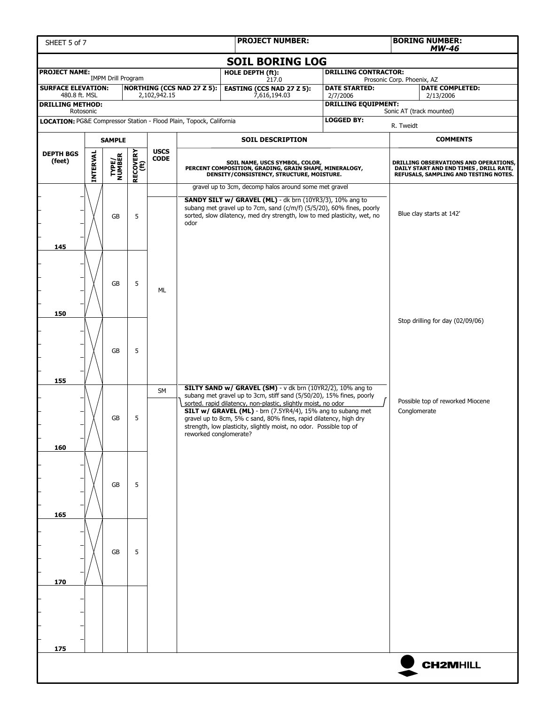| SHEET 5 of 7                                                                                                     | <b>PROJECT NUMBER:</b> |                           |                  |              |                                   |                                                                                                                                                                                                                                                                         |  |                                  | <b>BORING NUMBER:</b><br><b>MW-46</b> |                                                                                                                           |  |
|------------------------------------------------------------------------------------------------------------------|------------------------|---------------------------|------------------|--------------|-----------------------------------|-------------------------------------------------------------------------------------------------------------------------------------------------------------------------------------------------------------------------------------------------------------------------|--|----------------------------------|---------------------------------------|---------------------------------------------------------------------------------------------------------------------------|--|
| <b>SOIL BORING LOG</b>                                                                                           |                        |                           |                  |              |                                   |                                                                                                                                                                                                                                                                         |  |                                  |                                       |                                                                                                                           |  |
| <b>PROJECT NAME:</b>                                                                                             |                        | <b>IMPM Drill Program</b> |                  |              |                                   | HOLE DEPTH (ft):<br>217.0                                                                                                                                                                                                                                               |  | <b>DRILLING CONTRACTOR:</b>      | Prosonic Corp. Phoenix, AZ            |                                                                                                                           |  |
| <b>SURFACE ELEVATION:</b><br>480.8 ft. MSL                                                                       |                        |                           |                  | 2,102,942.15 | <b>NORTHING (CCS NAD 27 Z 5):</b> | <b>EASTING (CCS NAD 27 Z 5):</b><br>7,616,194.03                                                                                                                                                                                                                        |  | <b>DATE STARTED:</b><br>2/7/2006 |                                       | <b>DATE COMPLETED:</b><br>2/13/2006                                                                                       |  |
| <b>DRILLING METHOD:</b>                                                                                          |                        |                           |                  |              |                                   |                                                                                                                                                                                                                                                                         |  | <b>DRILLING EQUIPMENT:</b>       |                                       | Sonic AT (track mounted)                                                                                                  |  |
| Rotosonic<br><b>LOGGED BY:</b><br><b>LOCATION: PG&amp;E Compressor Station - Flood Plain, Topock, California</b> |                        |                           |                  |              |                                   |                                                                                                                                                                                                                                                                         |  |                                  | R. Tweidt                             |                                                                                                                           |  |
|                                                                                                                  | <b>SAMPLE</b>          |                           |                  |              |                                   | <b>SOIL DESCRIPTION</b>                                                                                                                                                                                                                                                 |  |                                  |                                       | <b>COMMENTS</b>                                                                                                           |  |
| <b>DEPTH BGS</b>                                                                                                 |                        |                           |                  | <b>USCS</b>  |                                   |                                                                                                                                                                                                                                                                         |  |                                  |                                       |                                                                                                                           |  |
| (feet)                                                                                                           | <b>INTERVAL</b>        | <b>TYPE/<br/>NUMBER</b>   | RECOVERY<br>(ft) | <b>CODE</b>  |                                   | SOIL NAME, USCS SYMBOL, COLOR,<br>PERCENT COMPOSITION, GRADING, GRAIN SHAPE, MINERALOGY,<br>DENSITY/CONSISTENCY, STRUCTURE, MOISTURE.                                                                                                                                   |  |                                  |                                       | DRILLING OBSERVATIONS AND OPERATIONS,<br>DAILY START AND END TIMES , DRILL RATE,<br>REFUSALS, SAMPLING AND TESTING NOTES. |  |
|                                                                                                                  |                        |                           |                  |              |                                   | gravel up to 3cm, decomp halos around some met gravel                                                                                                                                                                                                                   |  |                                  |                                       |                                                                                                                           |  |
| 145                                                                                                              |                        | GB                        | 5                |              | odor                              | SANDY SILT w/ GRAVEL (ML) - dk brn (10YR3/3), 10% ang to<br>subang met gravel up to 7cm, sand (c/m/f) (5/5/20), 60% fines, poorly<br>sorted, slow dilatency, med dry strength, low to med plasticity, wet, no                                                           |  |                                  |                                       | Blue clay starts at 142'                                                                                                  |  |
| 150                                                                                                              |                        | GB                        | 5                | ML           |                                   |                                                                                                                                                                                                                                                                         |  |                                  |                                       |                                                                                                                           |  |
| 155                                                                                                              |                        | <b>GB</b>                 | 5                |              |                                   |                                                                                                                                                                                                                                                                         |  |                                  |                                       | Stop drilling for day (02/09/06)                                                                                          |  |
|                                                                                                                  |                        |                           |                  | <b>SM</b>    |                                   | SILTY SAND w/ GRAVEL (SM) - v dk brn (10YR2/2), 10% ang to<br>subang met gravel up to 3cm, stiff sand (5/50/20), 15% fines, poorly                                                                                                                                      |  |                                  |                                       |                                                                                                                           |  |
| 160                                                                                                              |                        | GB                        | 5                |              | reworked conglomerate?            | sorted. rapid dilatency, non-plastic, slightly moist, no odor<br>SILT w/ GRAVEL (ML) - brn (7.5YR4/4), 15% ang to subang met<br>gravel up to 8cm, 5% c sand, 80% fines, rapid dilatency, high dry<br>strength, low plasticity, slightly moist, no odor. Possible top of |  |                                  | Conglomerate                          | Possible top of reworked Miocene                                                                                          |  |
| 165                                                                                                              |                        | <b>GB</b>                 | 5                |              |                                   |                                                                                                                                                                                                                                                                         |  |                                  |                                       |                                                                                                                           |  |
|                                                                                                                  |                        |                           |                  |              |                                   |                                                                                                                                                                                                                                                                         |  |                                  |                                       |                                                                                                                           |  |
| 170                                                                                                              |                        | GB                        | 5                |              |                                   |                                                                                                                                                                                                                                                                         |  |                                  |                                       |                                                                                                                           |  |
|                                                                                                                  |                        |                           |                  |              |                                   |                                                                                                                                                                                                                                                                         |  |                                  |                                       |                                                                                                                           |  |
| 175                                                                                                              |                        |                           |                  |              |                                   |                                                                                                                                                                                                                                                                         |  |                                  |                                       |                                                                                                                           |  |
|                                                                                                                  |                        |                           |                  |              |                                   |                                                                                                                                                                                                                                                                         |  |                                  |                                       | <b>CH2MHILL</b>                                                                                                           |  |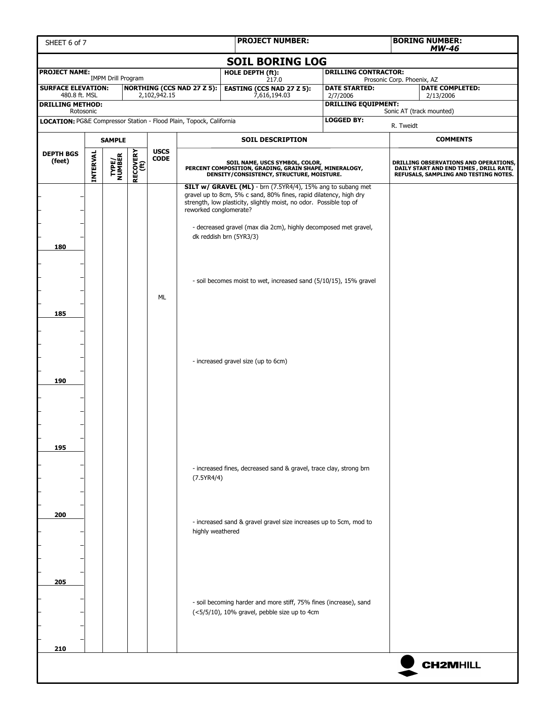| SHEET 6 of 7                                                        | <b>PROJECT NUMBER:</b> |                           |          |                 |                                   | <b>BORING NUMBER:</b><br><b>MW-46</b>                                                                                                                                                                                                                                                                       |                                  |                            |                                                                                                                           |
|---------------------------------------------------------------------|------------------------|---------------------------|----------|-----------------|-----------------------------------|-------------------------------------------------------------------------------------------------------------------------------------------------------------------------------------------------------------------------------------------------------------------------------------------------------------|----------------------------------|----------------------------|---------------------------------------------------------------------------------------------------------------------------|
|                                                                     |                        |                           |          |                 |                                   | <b>SOIL BORING LOG</b>                                                                                                                                                                                                                                                                                      |                                  |                            |                                                                                                                           |
| <b>PROJECT NAME:</b>                                                |                        | <b>IMPM Drill Program</b> |          |                 |                                   | HOLE DEPTH (ft):<br>217.0                                                                                                                                                                                                                                                                                   | <b>DRILLING CONTRACTOR:</b>      | Prosonic Corp. Phoenix, AZ |                                                                                                                           |
| <b>SURFACE ELEVATION:</b><br>480.8 ft. MSL                          |                        |                           |          | 2,102,942.15    | <b>NORTHING (CCS NAD 27 Z 5):</b> | <b>EASTING (CCS NAD 27 Z 5):</b><br>7,616,194.03                                                                                                                                                                                                                                                            | <b>DATE STARTED:</b><br>2/7/2006 |                            | <b>DATE COMPLETED:</b><br>2/13/2006                                                                                       |
| <b>DRILLING METHOD:</b><br>Rotosonic                                |                        |                           |          |                 |                                   |                                                                                                                                                                                                                                                                                                             | <b>DRILLING EQUIPMENT:</b>       |                            | Sonic AT (track mounted)                                                                                                  |
| LOCATION: PG&E Compressor Station - Flood Plain, Topock, California |                        |                           |          |                 |                                   |                                                                                                                                                                                                                                                                                                             | <b>LOGGED BY:</b>                | R. Tweidt                  |                                                                                                                           |
|                                                                     |                        | <b>SAMPLE</b>             |          |                 |                                   | <b>SOIL DESCRIPTION</b>                                                                                                                                                                                                                                                                                     |                                  |                            | <b>COMMENTS</b>                                                                                                           |
| <b>DEPTH BGS</b>                                                    |                        |                           |          | <b>USCS</b>     |                                   |                                                                                                                                                                                                                                                                                                             |                                  |                            |                                                                                                                           |
| (feet)                                                              | INTERVAL               | <b>TYPE/<br/>NUMBER</b>   | RECOVERY | $\mathsf{CODE}$ |                                   | SOIL NAME, USCS SYMBOL, COLOR,<br>PERCENT COMPOSITION, GRADING, GRAIN SHAPE, MINERALOGY,<br>DENSITY/CONSISTENCY, STRUCTURE, MOISTURE.                                                                                                                                                                       |                                  |                            | DRILLING OBSERVATIONS AND OPERATIONS,<br>DAILY START AND END TIMES , DRILL RATE,<br>REFUSALS, SAMPLING AND TESTING NOTES. |
| 180                                                                 |                        |                           |          |                 | reworked conglomerate?            | <b>SILT w/ GRAVEL (ML)</b> - brn (7.5YR4/4), 15% ang to subang met<br>gravel up to 8cm, 5% c sand, 80% fines, rapid dilatency, high dry<br>strength, low plasticity, slightly moist, no odor. Possible top of<br>- decreased gravel (max dia 2cm), highly decomposed met gravel,<br>dk reddish brn (5YR3/3) |                                  |                            |                                                                                                                           |
| 185                                                                 |                        |                           |          | ML              |                                   | - soil becomes moist to wet, increased sand (5/10/15), 15% gravel                                                                                                                                                                                                                                           |                                  |                            |                                                                                                                           |
| 190                                                                 |                        |                           |          |                 |                                   | - increased gravel size (up to 6cm)                                                                                                                                                                                                                                                                         |                                  |                            |                                                                                                                           |
| 195                                                                 |                        |                           |          |                 |                                   |                                                                                                                                                                                                                                                                                                             |                                  |                            |                                                                                                                           |
|                                                                     |                        |                           |          |                 | (7.5YR4/4)                        | - increased fines, decreased sand & gravel, trace clay, strong brn                                                                                                                                                                                                                                          |                                  |                            |                                                                                                                           |
| 200                                                                 |                        |                           |          |                 | highly weathered                  | - increased sand & gravel gravel size increases up to 5cm, mod to                                                                                                                                                                                                                                           |                                  |                            |                                                                                                                           |
| 205                                                                 |                        |                           |          |                 |                                   | - soil becoming harder and more stiff, 75% fines (increase), sand<br>(<5/5/10), 10% gravel, pebble size up to 4cm                                                                                                                                                                                           |                                  |                            |                                                                                                                           |
| 210                                                                 |                        |                           |          |                 |                                   |                                                                                                                                                                                                                                                                                                             |                                  |                            | <b>CH2MHILL</b>                                                                                                           |